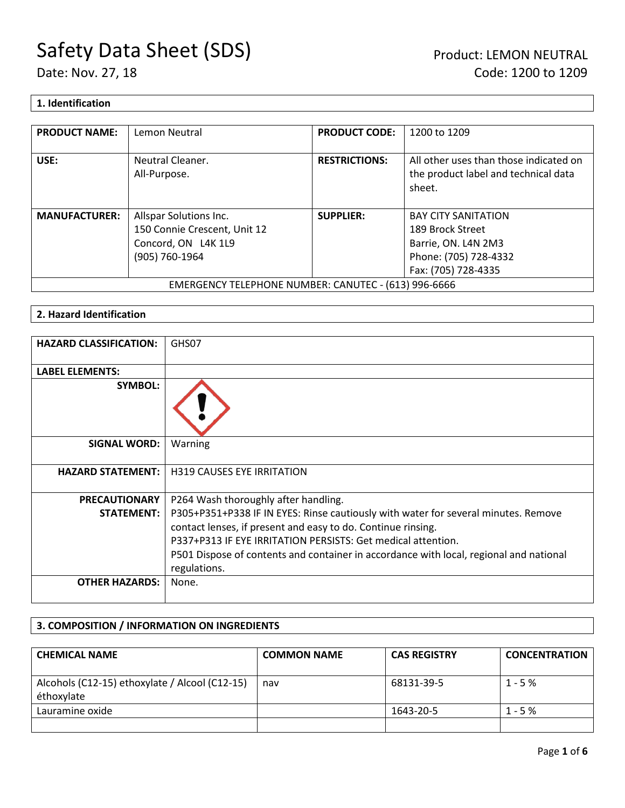### **1. Identification**

| <b>PRODUCT NAME:</b>                                 | Lemon Neutral                    | <b>PRODUCT CODE:</b> | 1200 to 1209                                                                             |
|------------------------------------------------------|----------------------------------|----------------------|------------------------------------------------------------------------------------------|
| USE:                                                 | Neutral Cleaner.<br>All-Purpose. | <b>RESTRICTIONS:</b> | All other uses than those indicated on<br>the product label and technical data<br>sheet. |
| <b>MANUFACTURER:</b>                                 | Allspar Solutions Inc.           | <b>SUPPLIER:</b>     | <b>BAY CITY SANITATION</b>                                                               |
|                                                      | 150 Connie Crescent, Unit 12     |                      | 189 Brock Street                                                                         |
|                                                      | Concord, ON L4K 1L9              |                      | Barrie, ON. L4N 2M3                                                                      |
|                                                      | (905) 760-1964                   |                      | Phone: (705) 728-4332                                                                    |
|                                                      |                                  |                      | Fax: (705) 728-4335                                                                      |
| EMERGENCY TELEPHONE NUMBER: CANUTEC - (613) 996-6666 |                                  |                      |                                                                                          |

### **2. Hazard Identification**

| <b>HAZARD CLASSIFICATION:</b> | GHS07                                                                                                  |
|-------------------------------|--------------------------------------------------------------------------------------------------------|
| <b>LABEL ELEMENTS:</b>        |                                                                                                        |
| <b>SYMBOL:</b>                |                                                                                                        |
| <b>SIGNAL WORD:</b>           | Warning                                                                                                |
| <b>HAZARD STATEMENT:</b>      | <b>H319 CAUSES EYE IRRITATION</b>                                                                      |
| <b>PRECAUTIONARY</b>          | P264 Wash thoroughly after handling.                                                                   |
| <b>STATEMENT:</b>             | P305+P351+P338 IF IN EYES: Rinse cautiously with water for several minutes. Remove                     |
|                               | contact lenses, if present and easy to do. Continue rinsing.                                           |
|                               | P337+P313 IF EYE IRRITATION PERSISTS: Get medical attention.                                           |
|                               | P501 Dispose of contents and container in accordance with local, regional and national<br>regulations. |
| <b>OTHER HAZARDS:</b>         | None.                                                                                                  |

### **3. COMPOSITION / INFORMATION ON INGREDIENTS**

| <b>CHEMICAL NAME</b>                                         | <b>COMMON NAME</b> | <b>CAS REGISTRY</b> | <b>CONCENTRATION</b> |
|--------------------------------------------------------------|--------------------|---------------------|----------------------|
| Alcohols (C12-15) ethoxylate / Alcool (C12-15)<br>éthoxylate | nav                | 68131-39-5          | $1 - 5%$             |
| Lauramine oxide                                              |                    | 1643-20-5           | $1 - 5%$             |
|                                                              |                    |                     |                      |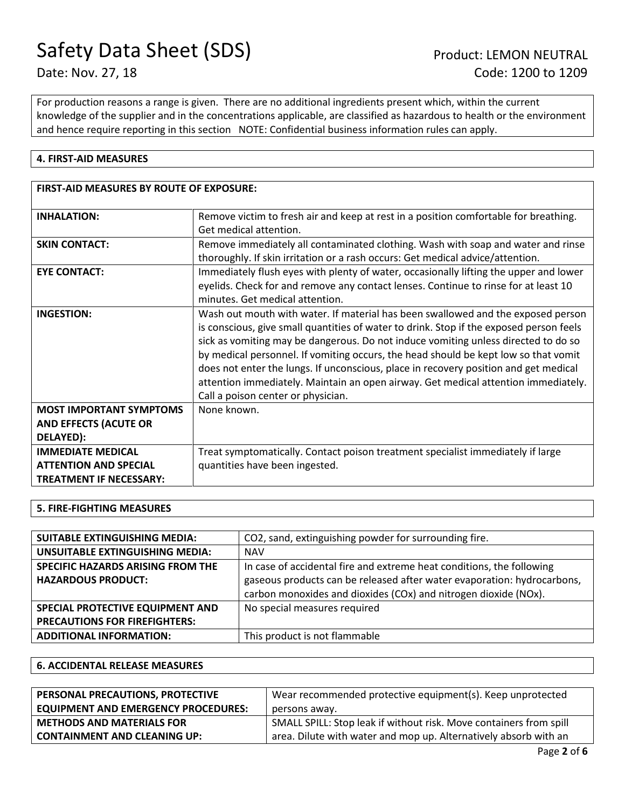For production reasons a range is given. There are no additional ingredients present which, within the current knowledge of the supplier and in the concentrations applicable, are classified as hazardous to health or the environment and hence require reporting in this section NOTE: Confidential business information rules can apply.

### **4. FIRST-AID MEASURES**

| <b>FIRST-AID MEASURES BY ROUTE OF EXPOSURE:</b>                                            |                                                                                                                                                                                                                                                                                                                                                                                                                                                                                                                                                                              |
|--------------------------------------------------------------------------------------------|------------------------------------------------------------------------------------------------------------------------------------------------------------------------------------------------------------------------------------------------------------------------------------------------------------------------------------------------------------------------------------------------------------------------------------------------------------------------------------------------------------------------------------------------------------------------------|
| <b>INHALATION:</b>                                                                         | Remove victim to fresh air and keep at rest in a position comfortable for breathing.<br>Get medical attention.                                                                                                                                                                                                                                                                                                                                                                                                                                                               |
| <b>SKIN CONTACT:</b>                                                                       | Remove immediately all contaminated clothing. Wash with soap and water and rinse<br>thoroughly. If skin irritation or a rash occurs: Get medical advice/attention.                                                                                                                                                                                                                                                                                                                                                                                                           |
| <b>EYE CONTACT:</b>                                                                        | Immediately flush eyes with plenty of water, occasionally lifting the upper and lower<br>eyelids. Check for and remove any contact lenses. Continue to rinse for at least 10<br>minutes. Get medical attention.                                                                                                                                                                                                                                                                                                                                                              |
| <b>INGESTION:</b>                                                                          | Wash out mouth with water. If material has been swallowed and the exposed person<br>is conscious, give small quantities of water to drink. Stop if the exposed person feels<br>sick as vomiting may be dangerous. Do not induce vomiting unless directed to do so<br>by medical personnel. If vomiting occurs, the head should be kept low so that vomit<br>does not enter the lungs. If unconscious, place in recovery position and get medical<br>attention immediately. Maintain an open airway. Get medical attention immediately.<br>Call a poison center or physician. |
| <b>MOST IMPORTANT SYMPTOMS</b><br><b>AND EFFECTS (ACUTE OR</b><br>DELAYED):                | None known.                                                                                                                                                                                                                                                                                                                                                                                                                                                                                                                                                                  |
| <b>IMMEDIATE MEDICAL</b><br><b>ATTENTION AND SPECIAL</b><br><b>TREATMENT IF NECESSARY:</b> | Treat symptomatically. Contact poison treatment specialist immediately if large<br>quantities have been ingested.                                                                                                                                                                                                                                                                                                                                                                                                                                                            |

### **5. FIRE-FIGHTING MEASURES**

| <b>SUITABLE EXTINGUISHING MEDIA:</b> | CO2, sand, extinguishing powder for surrounding fire.                   |
|--------------------------------------|-------------------------------------------------------------------------|
| UNSUITABLE EXTINGUISHING MEDIA:      | <b>NAV</b>                                                              |
| SPECIFIC HAZARDS ARISING FROM THE    | In case of accidental fire and extreme heat conditions, the following   |
| <b>HAZARDOUS PRODUCT:</b>            | gaseous products can be released after water evaporation: hydrocarbons, |
|                                      | carbon monoxides and dioxides (COx) and nitrogen dioxide (NOx).         |
| SPECIAL PROTECTIVE EQUIPMENT AND     | No special measures required                                            |
| <b>PRECAUTIONS FOR FIREFIGHTERS:</b> |                                                                         |
| <b>ADDITIONAL INFORMATION:</b>       | This product is not flammable                                           |

### **6. ACCIDENTAL RELEASE MEASURES**

| PERSONAL PRECAUTIONS, PROTECTIVE           | Wear recommended protective equipment(s). Keep unprotected         |  |
|--------------------------------------------|--------------------------------------------------------------------|--|
| <b>EQUIPMENT AND EMERGENCY PROCEDURES:</b> | persons away.                                                      |  |
| <b>METHODS AND MATERIALS FOR</b>           | SMALL SPILL: Stop leak if without risk. Move containers from spill |  |
| <b>CONTAINMENT AND CLEANING UP:</b>        | area. Dilute with water and mop up. Alternatively absorb with an   |  |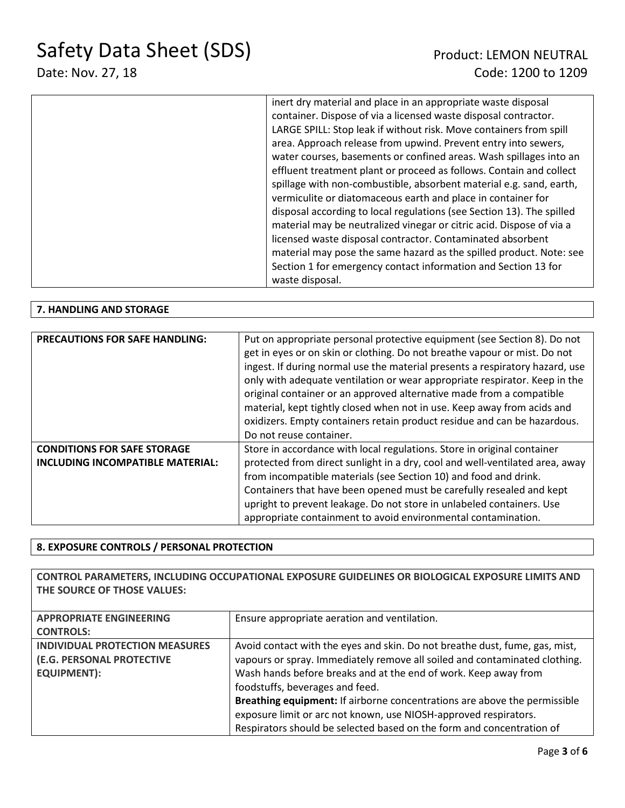# Date: Nov. 27, 18 Code: 1200 to 1209

| inert dry material and place in an appropriate waste disposal         |
|-----------------------------------------------------------------------|
| container. Dispose of via a licensed waste disposal contractor.       |
| LARGE SPILL: Stop leak if without risk. Move containers from spill    |
| area. Approach release from upwind. Prevent entry into sewers,        |
| water courses, basements or confined areas. Wash spillages into an    |
| effluent treatment plant or proceed as follows. Contain and collect   |
| spillage with non-combustible, absorbent material e.g. sand, earth,   |
| vermiculite or diatomaceous earth and place in container for          |
| disposal according to local regulations (see Section 13). The spilled |
| material may be neutralized vinegar or citric acid. Dispose of via a  |
| licensed waste disposal contractor. Contaminated absorbent            |
| material may pose the same hazard as the spilled product. Note: see   |
| Section 1 for emergency contact information and Section 13 for        |
| waste disposal.                                                       |

### **7. HANDLING AND STORAGE**

| <b>PRECAUTIONS FOR SAFE HANDLING:</b> | Put on appropriate personal protective equipment (see Section 8). Do not<br>get in eyes or on skin or clothing. Do not breathe vapour or mist. Do not<br>ingest. If during normal use the material presents a respiratory hazard, use<br>only with adequate ventilation or wear appropriate respirator. Keep in the<br>original container or an approved alternative made from a compatible<br>material, kept tightly closed when not in use. Keep away from acids and<br>oxidizers. Empty containers retain product residue and can be hazardous.<br>Do not reuse container. |
|---------------------------------------|-------------------------------------------------------------------------------------------------------------------------------------------------------------------------------------------------------------------------------------------------------------------------------------------------------------------------------------------------------------------------------------------------------------------------------------------------------------------------------------------------------------------------------------------------------------------------------|
| <b>CONDITIONS FOR SAFE STORAGE</b>    | Store in accordance with local regulations. Store in original container                                                                                                                                                                                                                                                                                                                                                                                                                                                                                                       |
| INCLUDING INCOMPATIBLE MATERIAL:      | protected from direct sunlight in a dry, cool and well-ventilated area, away                                                                                                                                                                                                                                                                                                                                                                                                                                                                                                  |
|                                       | from incompatible materials (see Section 10) and food and drink.                                                                                                                                                                                                                                                                                                                                                                                                                                                                                                              |
|                                       | Containers that have been opened must be carefully resealed and kept                                                                                                                                                                                                                                                                                                                                                                                                                                                                                                          |
|                                       | upright to prevent leakage. Do not store in unlabeled containers. Use                                                                                                                                                                                                                                                                                                                                                                                                                                                                                                         |
|                                       | appropriate containment to avoid environmental contamination.                                                                                                                                                                                                                                                                                                                                                                                                                                                                                                                 |

### **8. EXPOSURE CONTROLS / PERSONAL PROTECTION**

**CONTROL PARAMETERS, INCLUDING OCCUPATIONAL EXPOSURE GUIDELINES OR BIOLOGICAL EXPOSURE LIMITS AND THE SOURCE OF THOSE VALUES:**

| <b>APPROPRIATE ENGINEERING</b> | Ensure appropriate aeration and ventilation.                                |
|--------------------------------|-----------------------------------------------------------------------------|
| <b>CONTROLS:</b>               |                                                                             |
| INDIVIDUAL PROTECTION MEASURES | Avoid contact with the eyes and skin. Do not breathe dust, fume, gas, mist, |
| (E.G. PERSONAL PROTECTIVE      | vapours or spray. Immediately remove all soiled and contaminated clothing.  |
| <b>EQUIPMENT):</b>             | Wash hands before breaks and at the end of work. Keep away from             |
|                                | foodstuffs, beverages and feed.                                             |
|                                | Breathing equipment: If airborne concentrations are above the permissible   |
|                                | exposure limit or arc not known, use NIOSH-approved respirators.            |
|                                | Respirators should be selected based on the form and concentration of       |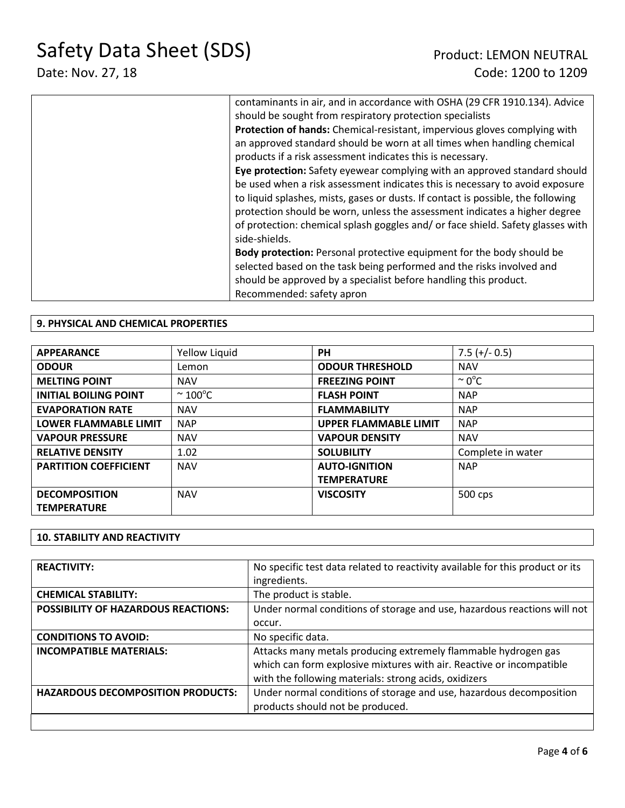| contaminants in air, and in accordance with OSHA (29 CFR 1910.134). Advice       |
|----------------------------------------------------------------------------------|
| should be sought from respiratory protection specialists                         |
| Protection of hands: Chemical-resistant, impervious gloves complying with        |
| an approved standard should be worn at all times when handling chemical          |
| products if a risk assessment indicates this is necessary.                       |
| Eye protection: Safety eyewear complying with an approved standard should        |
| be used when a risk assessment indicates this is necessary to avoid exposure     |
| to liquid splashes, mists, gases or dusts. If contact is possible, the following |
| protection should be worn, unless the assessment indicates a higher degree       |
| of protection: chemical splash goggles and/or face shield. Safety glasses with   |
| side-shields.                                                                    |
| <b>Body protection:</b> Personal protective equipment for the body should be     |
| selected based on the task being performed and the risks involved and            |
| should be approved by a specialist before handling this product.                 |
| Recommended: safety apron                                                        |
|                                                                                  |

### **9. PHYSICAL AND CHEMICAL PROPERTIES**

| <b>APPEARANCE</b>            | Yellow Liquid          | <b>PH</b>                    | $7.5 (+/- 0.5)$    |
|------------------------------|------------------------|------------------------------|--------------------|
| <b>ODOUR</b>                 | Lemon                  | <b>ODOUR THRESHOLD</b>       | <b>NAV</b>         |
| <b>MELTING POINT</b>         | <b>NAV</b>             | <b>FREEZING POINT</b>        | $\sim 0^{\circ}$ C |
| <b>INITIAL BOILING POINT</b> | $\sim$ 100 $\degree$ C | <b>FLASH POINT</b>           | <b>NAP</b>         |
| <b>EVAPORATION RATE</b>      | <b>NAV</b>             | <b>FLAMMABILITY</b>          | <b>NAP</b>         |
| <b>LOWER FLAMMABLE LIMIT</b> | <b>NAP</b>             | <b>UPPER FLAMMABLE LIMIT</b> | <b>NAP</b>         |
| <b>VAPOUR PRESSURE</b>       | <b>NAV</b>             | <b>VAPOUR DENSITY</b>        | <b>NAV</b>         |
| <b>RELATIVE DENSITY</b>      | 1.02                   | <b>SOLUBILITY</b>            | Complete in water  |
| <b>PARTITION COEFFICIENT</b> | <b>NAV</b>             | <b>AUTO-IGNITION</b>         | <b>NAP</b>         |
|                              |                        | <b>TEMPERATURE</b>           |                    |
| <b>DECOMPOSITION</b>         | <b>NAV</b>             | <b>VISCOSITY</b>             | 500 cps            |
| <b>TEMPERATURE</b>           |                        |                              |                    |

### **10. STABILITY AND REACTIVITY**

| <b>REACTIVITY:</b>                         | No specific test data related to reactivity available for this product or its |
|--------------------------------------------|-------------------------------------------------------------------------------|
|                                            | ingredients.                                                                  |
| <b>CHEMICAL STABILITY:</b>                 | The product is stable.                                                        |
| <b>POSSIBILITY OF HAZARDOUS REACTIONS:</b> | Under normal conditions of storage and use, hazardous reactions will not      |
|                                            | occur.                                                                        |
| <b>CONDITIONS TO AVOID:</b>                | No specific data.                                                             |
| <b>INCOMPATIBLE MATERIALS:</b>             | Attacks many metals producing extremely flammable hydrogen gas                |
|                                            | which can form explosive mixtures with air. Reactive or incompatible          |
|                                            | with the following materials: strong acids, oxidizers                         |
| <b>HAZARDOUS DECOMPOSITION PRODUCTS:</b>   | Under normal conditions of storage and use, hazardous decomposition           |
|                                            | products should not be produced.                                              |
|                                            |                                                                               |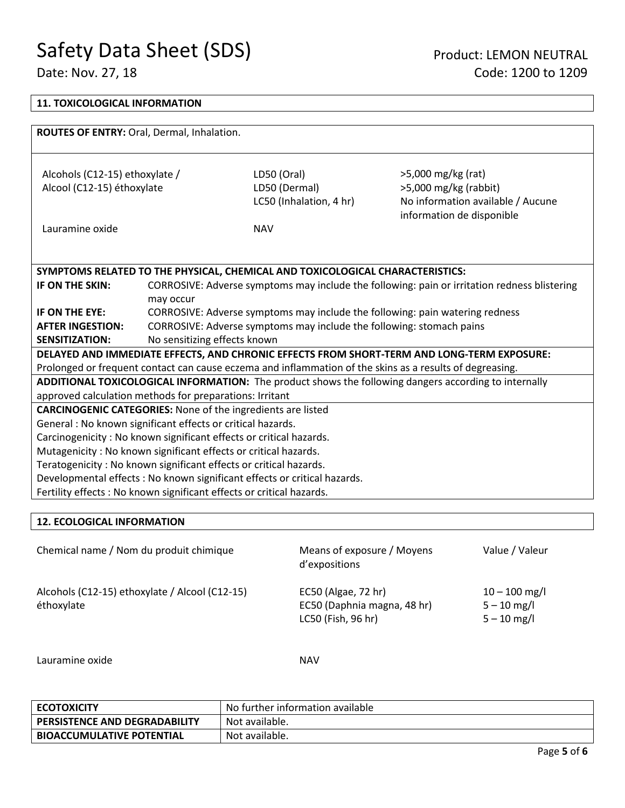┑

| <b>11. TOXICOLOGICAL INFORMATION</b>                                                                     |                              |                                                                               |                                                                                                       |  |  |
|----------------------------------------------------------------------------------------------------------|------------------------------|-------------------------------------------------------------------------------|-------------------------------------------------------------------------------------------------------|--|--|
|                                                                                                          |                              |                                                                               |                                                                                                       |  |  |
| ROUTES OF ENTRY: Oral, Dermal, Inhalation.                                                               |                              |                                                                               |                                                                                                       |  |  |
|                                                                                                          |                              |                                                                               |                                                                                                       |  |  |
| Alcohols (C12-15) ethoxylate /                                                                           |                              | LD50 (Oral)                                                                   | >5,000 mg/kg (rat)                                                                                    |  |  |
| Alcool (C12-15) éthoxylate                                                                               |                              | LD50 (Dermal)                                                                 | $>5,000$ mg/kg (rabbit)                                                                               |  |  |
|                                                                                                          |                              | LC50 (Inhalation, 4 hr)                                                       | No information available / Aucune                                                                     |  |  |
|                                                                                                          |                              |                                                                               | information de disponible                                                                             |  |  |
| Lauramine oxide                                                                                          |                              | <b>NAV</b>                                                                    |                                                                                                       |  |  |
|                                                                                                          |                              |                                                                               |                                                                                                       |  |  |
|                                                                                                          |                              |                                                                               |                                                                                                       |  |  |
|                                                                                                          |                              | SYMPTOMS RELATED TO THE PHYSICAL, CHEMICAL AND TOXICOLOGICAL CHARACTERISTICS: |                                                                                                       |  |  |
| IF ON THE SKIN:                                                                                          |                              |                                                                               | CORROSIVE: Adverse symptoms may include the following: pain or irritation redness blistering          |  |  |
| IF ON THE EYE:                                                                                           | may occur                    |                                                                               | CORROSIVE: Adverse symptoms may include the following: pain watering redness                          |  |  |
| <b>AFTER INGESTION:</b>                                                                                  |                              | CORROSIVE: Adverse symptoms may include the following: stomach pains          |                                                                                                       |  |  |
| <b>SENSITIZATION:</b>                                                                                    | No sensitizing effects known |                                                                               |                                                                                                       |  |  |
| DELAYED AND IMMEDIATE EFFECTS, AND CHRONIC EFFECTS FROM SHORT-TERM AND LONG-TERM EXPOSURE:               |                              |                                                                               |                                                                                                       |  |  |
| Prolonged or frequent contact can cause eczema and inflammation of the skins as a results of degreasing. |                              |                                                                               |                                                                                                       |  |  |
|                                                                                                          |                              |                                                                               | ADDITIONAL TOXICOLOGICAL INFORMATION: The product shows the following dangers according to internally |  |  |
| approved calculation methods for preparations: Irritant                                                  |                              |                                                                               |                                                                                                       |  |  |
| <b>CARCINOGENIC CATEGORIES:</b> None of the ingredients are listed                                       |                              |                                                                               |                                                                                                       |  |  |
| General : No known significant effects or critical hazards.                                              |                              |                                                                               |                                                                                                       |  |  |
| Carcinogenicity: No known significant effects or critical hazards.                                       |                              |                                                                               |                                                                                                       |  |  |
| Mutagenicity: No known significant effects or critical hazards.                                          |                              |                                                                               |                                                                                                       |  |  |
| Teratogenicity: No known significant effects or critical hazards.                                        |                              |                                                                               |                                                                                                       |  |  |
| Developmental effects : No known significant effects or critical hazards.                                |                              |                                                                               |                                                                                                       |  |  |
| Fertility effects : No known significant effects or critical hazards.                                    |                              |                                                                               |                                                                                                       |  |  |

### **12. ECOLOGICAL INFORMATION**

Chemical name / Nom du produit chimique Means of exposure / Moyens d'expositions Value / Valeur Alcohols (C12-15) ethoxylate / Alcool (C12-15) éthoxylate EC50 (Algae, 72 hr) EC50 (Daphnia magna, 48 hr) LC50 (Fish, 96 hr)  $10 - 100$  mg/l 5 – 10 mg/l  $5 - 10$  mg/l

Lauramine oxide NAV

| <b>ECOTOXICITY</b>                   | No further information available |
|--------------------------------------|----------------------------------|
| <b>PERSISTENCE AND DEGRADABILITY</b> | Not available.                   |
| <b>BIOACCUMULATIVE POTENTIAL</b>     | Not available.                   |